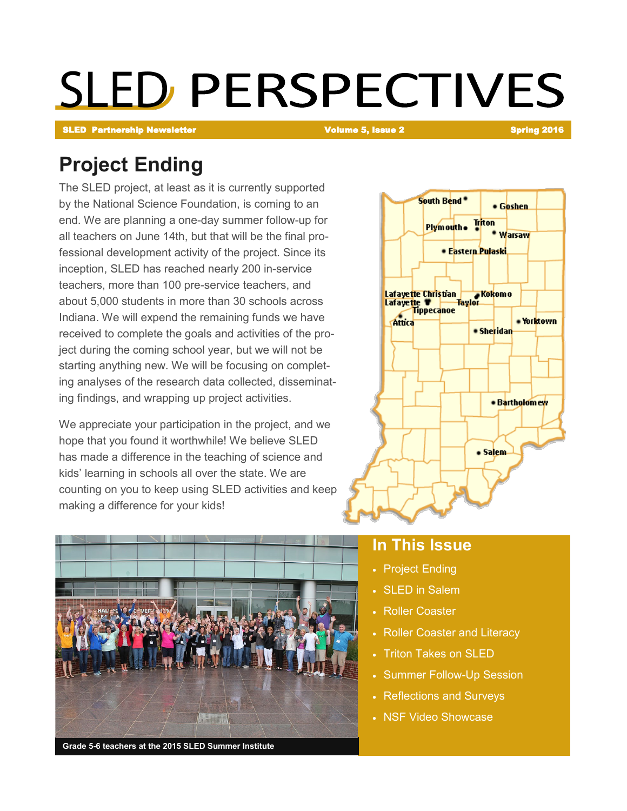# **SLED PERSPECTIVES**

SLED Partnership Newsletter Volume 5, Issue 2 Spring 2016

### **Project Ending**

The SLED project, at least as it is currently supported by the National Science Foundation, is coming to an end. We are planning a one-day summer follow-up for all teachers on June 14th, but that will be the final professional development activity of the project. Since its inception, SLED has reached nearly 200 in-service teachers, more than 100 pre-service teachers, and about 5,000 students in more than 30 schools across Indiana. We will expend the remaining funds we have received to complete the goals and activities of the project during the coming school year, but we will not be starting anything new. We will be focusing on completing analyses of the research data collected, disseminating findings, and wrapping up project activities.

We appreciate your participation in the project, and we hope that you found it worthwhile! We believe SLED has made a difference in the teaching of science and kids' learning in schools all over the state. We are counting on you to keep using SLED activities and keep making a difference for your kids!





#### **In This Issue**

- Project Ending
- SLED in Salem
- Roller Coaster
- Roller Coaster and Literacy
- Triton Takes on SLED
- Summer Follow-Up Session
- Reflections and Surveys
- NSF Video Showcase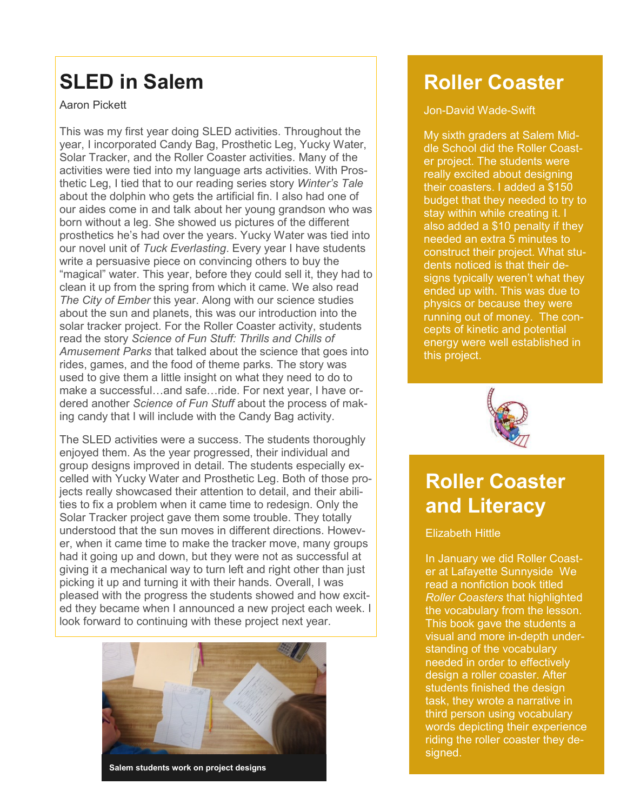### **SLED in Salem**

Aaron Pickett

This was my first year doing SLED activities. Throughout the year, I incorporated Candy Bag, Prosthetic Leg, Yucky Water, Solar Tracker, and the Roller Coaster activities. Many of the activities were tied into my language arts activities. With Prosthetic Leg, I tied that to our reading series story *Winter's Tale* about the dolphin who gets the artificial fin. I also had one of our aides come in and talk about her young grandson who was born without a leg. She showed us pictures of the different prosthetics he's had over the years. Yucky Water was tied into our novel unit of *Tuck Everlasting*. Every year I have students write a persuasive piece on convincing others to buy the "magical" water. This year, before they could sell it, they had to clean it up from the spring from which it came. We also read *The City of Ember* this year. Along with our science studies about the sun and planets, this was our introduction into the solar tracker project. For the Roller Coaster activity, students read the story *Science of Fun Stuff: Thrills and Chills of Amusement Parks* that talked about the science that goes into rides, games, and the food of theme parks. The story was used to give them a little insight on what they need to do to make a successful…and safe…ride. For next year, I have ordered another *Science of Fun Stuff* about the process of making candy that I will include with the Candy Bag activity.

The SLED activities were a success. The students thoroughly enjoyed them. As the year progressed, their individual and group designs improved in detail. The students especially excelled with Yucky Water and Prosthetic Leg. Both of those projects really showcased their attention to detail, and their abilities to fix a problem when it came time to redesign. Only the Solar Tracker project gave them some trouble. They totally understood that the sun moves in different directions. However, when it came time to make the tracker move, many groups had it going up and down, but they were not as successful at giving it a mechanical way to turn left and right other than just picking it up and turning it with their hands. Overall, I was pleased with the progress the students showed and how excited they became when I announced a new project each week. I look forward to continuing with these project next year.



**Salem students work on project designs**

### **Roller Coaster**

#### Jon-David Wade-Swift

My sixth graders at Salem Middle School did the Roller Coaster project. The students were really excited about designing their coasters. I added a \$150 budget that they needed to try to stay within while creating it. I also added a \$10 penalty if they needed an extra 5 minutes to construct their project. What students noticed is that their designs typically weren't what they ended up with. This was due to physics or because they were running out of money. The concepts of kinetic and potential energy were well established in this project.



### **Roller Coaster and Literacy**

#### Elizabeth Hittle

In January we did Roller Coaster at Lafayette Sunnyside We read a nonfiction book titled *Roller Coasters* that highlighted the vocabulary from the lesson. This book gave the students a visual and more in-depth understanding of the vocabulary needed in order to effectively design a roller coaster. After students finished the design task, they wrote a narrative in third person using vocabulary words depicting their experience riding the roller coaster they designed.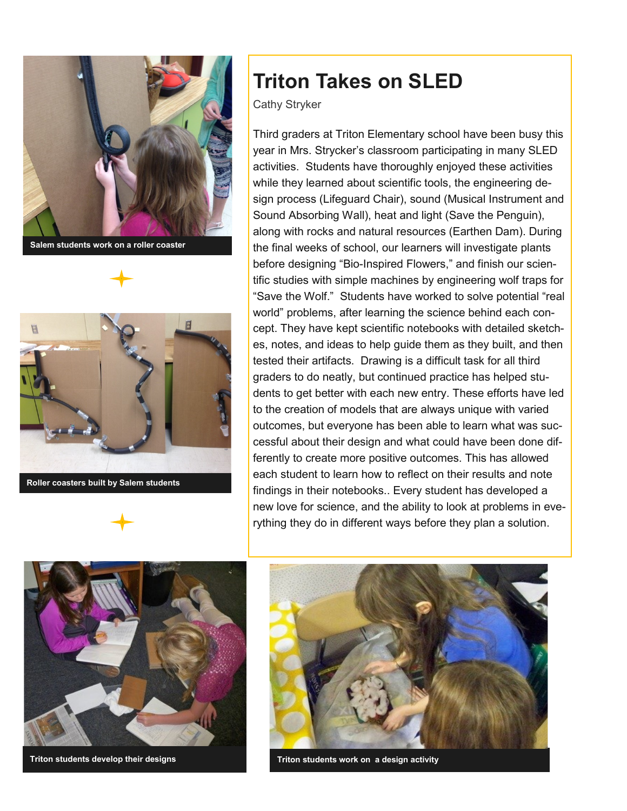

**Salem students work on a roller coaster** 



**Roller coasters built by Salem students**

### **Triton Takes on SLED**

Cathy Stryker

Third graders at Triton Elementary school have been busy this year in Mrs. Strycker's classroom participating in many SLED activities. Students have thoroughly enjoyed these activities while they learned about scientific tools, the engineering design process (Lifeguard Chair), sound (Musical Instrument and Sound Absorbing Wall), heat and light (Save the Penguin), along with rocks and natural resources (Earthen Dam). During the final weeks of school, our learners will investigate plants before designing "Bio-Inspired Flowers," and finish our scientific studies with simple machines by engineering wolf traps for "Save the Wolf." Students have worked to solve potential "real world" problems, after learning the science behind each concept. They have kept scientific notebooks with detailed sketches, notes, and ideas to help guide them as they built, and then tested their artifacts. Drawing is a difficult task for all third graders to do neatly, but continued practice has helped students to get better with each new entry. These efforts have led to the creation of models that are always unique with varied outcomes, but everyone has been able to learn what was successful about their design and what could have been done differently to create more positive outcomes. This has allowed each student to learn how to reflect on their results and note findings in their notebooks.. Every student has developed a new love for science, and the ability to look at problems in everything they do in different ways before they plan a solution.



**Triton students develop their designs**



**Triton students work on a design activity**